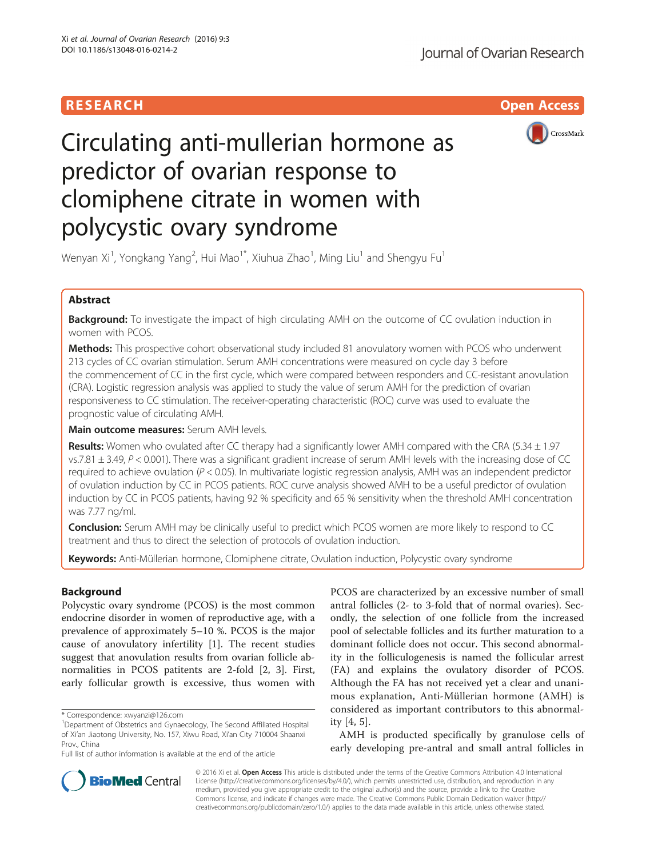# **RESEARCH CHILD CONTROL** CONTROL CONTROL CONTROL CONTROL CONTROL CONTROL CONTROL CONTROL CONTROL CONTROL CONTROL



# Circulating anti-mullerian hormone as predictor of ovarian response to clomiphene citrate in women with polycystic ovary syndrome

Wenyan Xi<sup>1</sup>, Yongkang Yang<sup>2</sup>, Hui Mao<sup>1\*</sup>, Xiuhua Zhao<sup>1</sup>, Ming Liu<sup>1</sup> and Shengyu Fu<sup>1</sup>

# Abstract

**Background:** To investigate the impact of high circulating AMH on the outcome of CC ovulation induction in women with PCOS.

Methods: This prospective cohort observational study included 81 anovulatory women with PCOS who underwent 213 cycles of CC ovarian stimulation. Serum AMH concentrations were measured on cycle day 3 before the commencement of CC in the first cycle, which were compared between responders and CC-resistant anovulation (CRA). Logistic regression analysis was applied to study the value of serum AMH for the prediction of ovarian responsiveness to CC stimulation. The receiver-operating characteristic (ROC) curve was used to evaluate the prognostic value of circulating AMH.

Main outcome measures: Serum AMH levels.

Results: Women who ovulated after CC therapy had a significantly lower AMH compared with the CRA (5.34 ± 1.97 vs.7.81 ± 3.49, P < 0.001). There was a significant gradient increase of serum AMH levels with the increasing dose of CC required to achieve ovulation ( $P < 0.05$ ). In multivariate logistic regression analysis, AMH was an independent predictor of ovulation induction by CC in PCOS patients. ROC curve analysis showed AMH to be a useful predictor of ovulation induction by CC in PCOS patients, having 92 % specificity and 65 % sensitivity when the threshold AMH concentration was 7.77 ng/ml.

**Conclusion:** Serum AMH may be clinically useful to predict which PCOS women are more likely to respond to CC treatment and thus to direct the selection of protocols of ovulation induction.

Keywords: Anti-Müllerian hormone, Clomiphene citrate, Ovulation induction, Polycystic ovary syndrome

# Background

Polycystic ovary syndrome (PCOS) is the most common endocrine disorder in women of reproductive age, with a prevalence of approximately 5–10 %. PCOS is the major cause of anovulatory infertility [\[1](#page-6-0)]. The recent studies suggest that anovulation results from ovarian follicle abnormalities in PCOS patitents are 2-fold [\[2](#page-6-0), [3](#page-6-0)]. First, early follicular growth is excessive, thus women with PCOS are characterized by an excessive number of small antral follicles (2- to 3-fold that of normal ovaries). Secondly, the selection of one follicle from the increased pool of selectable follicles and its further maturation to a dominant follicle does not occur. This second abnormality in the folliculogenesis is named the follicular arrest (FA) and explains the ovulatory disorder of PCOS. Although the FA has not received yet a clear and unanimous explanation, Anti-Müllerian hormone (AMH) is considered as important contributors to this abnormality [\[4](#page-6-0), [5](#page-6-0)].

AMH is producted specifically by granulose cells of early developing pre-antral and small antral follicles in



© 2016 Xi et al. Open Access This article is distributed under the terms of the Creative Commons Attribution 4.0 International License ([http://creativecommons.org/licenses/by/4.0/\)](http://creativecommons.org/licenses/by/4.0/), which permits unrestricted use, distribution, and reproduction in any medium, provided you give appropriate credit to the original author(s) and the source, provide a link to the Creative Commons license, and indicate if changes were made. The Creative Commons Public Domain Dedication waiver ([http://](http://creativecommons.org/publicdomain/zero/1.0/) [creativecommons.org/publicdomain/zero/1.0/\)](http://creativecommons.org/publicdomain/zero/1.0/) applies to the data made available in this article, unless otherwise stated.

<sup>\*</sup> Correspondence: [xwyanzi@126.com](mailto:xwyanzi@126.com) <sup>1</sup>

<sup>&</sup>lt;sup>1</sup>Department of Obstetrics and Gynaecology, The Second Affiliated Hospital of Xi'an Jiaotong University, No. 157, Xiwu Road, Xi'an City 710004 Shaanxi Prov., China

Full list of author information is available at the end of the article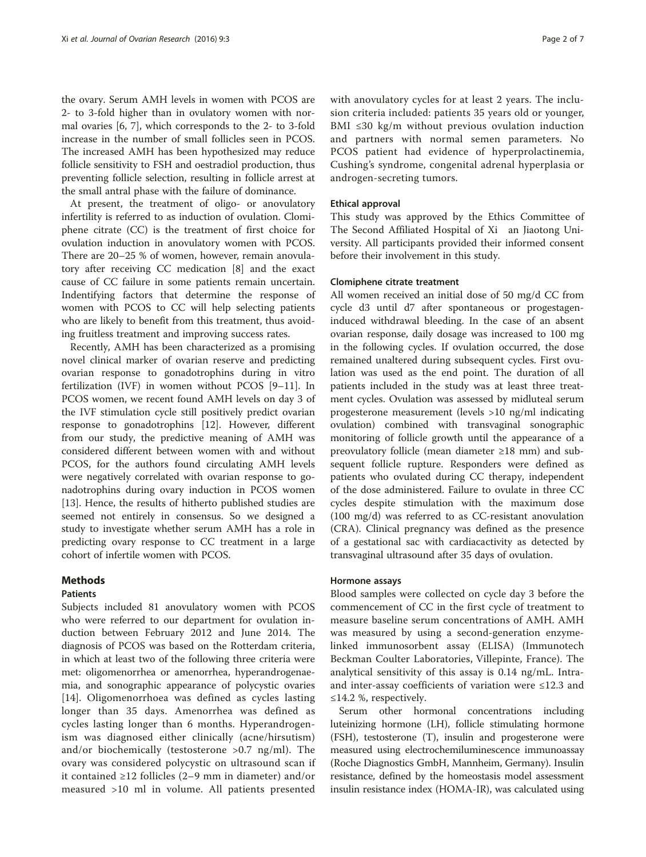the ovary. Serum AMH levels in women with PCOS are 2- to 3-fold higher than in ovulatory women with normal ovaries [\[6, 7](#page-6-0)], which corresponds to the 2- to 3-fold increase in the number of small follicles seen in PCOS. The increased AMH has been hypothesized may reduce follicle sensitivity to FSH and oestradiol production, thus preventing follicle selection, resulting in follicle arrest at the small antral phase with the failure of dominance.

At present, the treatment of oligo- or anovulatory infertility is referred to as induction of ovulation. Clomiphene citrate (CC) is the treatment of first choice for ovulation induction in anovulatory women with PCOS. There are 20–25 % of women, however, remain anovulatory after receiving CC medication [\[8](#page-6-0)] and the exact cause of CC failure in some patients remain uncertain. Indentifying factors that determine the response of women with PCOS to CC will help selecting patients who are likely to benefit from this treatment, thus avoiding fruitless treatment and improving success rates.

Recently, AMH has been characterized as a promising novel clinical marker of ovarian reserve and predicting ovarian response to gonadotrophins during in vitro fertilization (IVF) in women without PCOS [\[9](#page-6-0)–[11\]](#page-6-0). In PCOS women, we recent found AMH levels on day 3 of the IVF stimulation cycle still positively predict ovarian response to gonadotrophins [[12\]](#page-6-0). However, different from our study, the predictive meaning of AMH was considered different between women with and without PCOS, for the authors found circulating AMH levels were negatively correlated with ovarian response to gonadotrophins during ovary induction in PCOS women [[13\]](#page-6-0). Hence, the results of hitherto published studies are seemed not entirely in consensus. So we designed a study to investigate whether serum AMH has a role in predicting ovary response to CC treatment in a large cohort of infertile women with PCOS.

# Methods

# Patients

Subjects included 81 anovulatory women with PCOS who were referred to our department for ovulation induction between February 2012 and June 2014. The diagnosis of PCOS was based on the Rotterdam criteria, in which at least two of the following three criteria were met: oligomenorrhea or amenorrhea, hyperandrogenaemia, and sonographic appearance of polycystic ovaries [[14\]](#page-6-0). Oligomenorrhoea was defined as cycles lasting longer than 35 days. Amenorrhea was defined as cycles lasting longer than 6 months. Hyperandrogenism was diagnosed either clinically (acne/hirsutism) and/or biochemically (testosterone >0.7 ng/ml). The ovary was considered polycystic on ultrasound scan if it contained ≥12 follicles (2–9 mm in diameter) and/or measured >10 ml in volume. All patients presented with anovulatory cycles for at least 2 years. The inclusion criteria included: patients 35 years old or younger, BMI ≤30 kg/m without previous ovulation induction and partners with normal semen parameters. No PCOS patient had evidence of hyperprolactinemia, Cushing's syndrome, congenital adrenal hyperplasia or androgen-secreting tumors.

## Ethical approval

This study was approved by the Ethics Committee of The Second Affiliated Hospital of Xi an Jiaotong University. All participants provided their informed consent before their involvement in this study.

## Clomiphene citrate treatment

All women received an initial dose of 50 mg/d CC from cycle d3 until d7 after spontaneous or progestageninduced withdrawal bleeding. In the case of an absent ovarian response, daily dosage was increased to 100 mg in the following cycles. If ovulation occurred, the dose remained unaltered during subsequent cycles. First ovulation was used as the end point. The duration of all patients included in the study was at least three treatment cycles. Ovulation was assessed by midluteal serum progesterone measurement (levels >10 ng/ml indicating ovulation) combined with transvaginal sonographic monitoring of follicle growth until the appearance of a preovulatory follicle (mean diameter ≥18 mm) and subsequent follicle rupture. Responders were defined as patients who ovulated during CC therapy, independent of the dose administered. Failure to ovulate in three CC cycles despite stimulation with the maximum dose (100 mg/d) was referred to as CC-resistant anovulation (CRA). Clinical pregnancy was defined as the presence of a gestational sac with cardiacactivity as detected by transvaginal ultrasound after 35 days of ovulation.

# Hormone assays

Blood samples were collected on cycle day 3 before the commencement of CC in the first cycle of treatment to measure baseline serum concentrations of AMH. AMH was measured by using a second-generation enzymelinked immunosorbent assay (ELISA) (Immunotech Beckman Coulter Laboratories, Villepinte, France). The analytical sensitivity of this assay is 0.14 ng/mL. Intraand inter-assay coefficients of variation were ≤12.3 and  $≤14.2$  %, respectively.

Serum other hormonal concentrations including luteinizing hormone (LH), follicle stimulating hormone (FSH), testosterone (T), insulin and progesterone were measured using electrochemiluminescence immunoassay (Roche Diagnostics GmbH, Mannheim, Germany). Insulin resistance, defined by the homeostasis model assessment insulin resistance index (HOMA-IR), was calculated using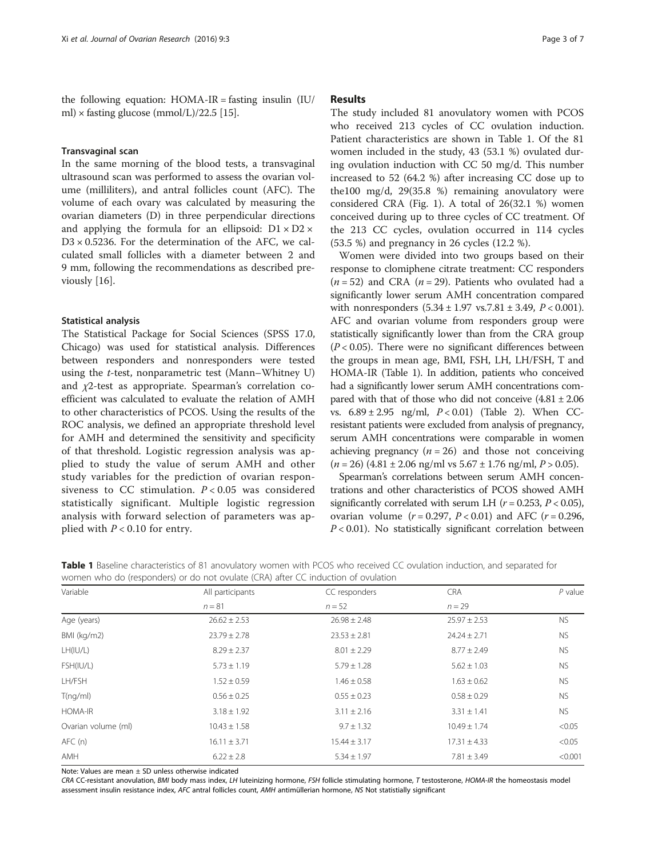the following equation:  $HOMA-IR =$  fasting insulin  $(IU/$ ml)  $\times$  fasting glucose (mmol/L)/22.5 [[15](#page-6-0)].

## Transvaginal scan

In the same morning of the blood tests, a transvaginal ultrasound scan was performed to assess the ovarian volume (milliliters), and antral follicles count (AFC). The volume of each ovary was calculated by measuring the ovarian diameters (D) in three perpendicular directions and applying the formula for an ellipsoid:  $D1 \times D2 \times$  $D3 \times 0.5236$ . For the determination of the AFC, we calculated small follicles with a diameter between 2 and 9 mm, following the recommendations as described previously [\[16\]](#page-6-0).

## Statistical analysis

The Statistical Package for Social Sciences (SPSS 17.0, Chicago) was used for statistical analysis. Differences between responders and nonresponders were tested using the t-test, nonparametric test (Mann–Whitney U) and χ2-test as appropriate. Spearman's correlation coefficient was calculated to evaluate the relation of AMH to other characteristics of PCOS. Using the results of the ROC analysis, we defined an appropriate threshold level for AMH and determined the sensitivity and specificity of that threshold. Logistic regression analysis was applied to study the value of serum AMH and other study variables for the prediction of ovarian responsiveness to CC stimulation.  $P < 0.05$  was considered statistically significant. Multiple logistic regression analysis with forward selection of parameters was applied with  $P < 0.10$  for entry.

# Results

The study included 81 anovulatory women with PCOS who received 213 cycles of CC ovulation induction. Patient characteristics are shown in Table 1. Of the 81 women included in the study, 43 (53.1 %) ovulated during ovulation induction with CC 50 mg/d. This number increased to 52 (64.2 %) after increasing CC dose up to the100 mg/d, 29(35.8 %) remaining anovulatory were considered CRA (Fig. [1](#page-3-0)). A total of 26(32.1 %) women conceived during up to three cycles of CC treatment. Of the 213 CC cycles, ovulation occurred in 114 cycles (53.5 %) and pregnancy in 26 cycles (12.2 %).

Women were divided into two groups based on their response to clomiphene citrate treatment: CC responders  $(n = 52)$  and CRA  $(n = 29)$ . Patients who ovulated had a significantly lower serum AMH concentration compared with nonresponders  $(5.34 \pm 1.97 \text{ vs.} 7.81 \pm 3.49, P < 0.001)$ . AFC and ovarian volume from responders group were statistically significantly lower than from the CRA group  $(P < 0.05)$ . There were no significant differences between the groups in mean age, BMI, FSH, LH, LH/FSH, T and HOMA-IR (Table 1). In addition, patients who conceived had a significantly lower serum AMH concentrations compared with that of those who did not conceive  $(4.81 \pm 2.06$ vs. 6.89 ± 2.95 ng/ml, P < 0.01) (Table [2\)](#page-3-0). When CCresistant patients were excluded from analysis of pregnancy, serum AMH concentrations were comparable in women achieving pregnancy  $(n = 26)$  and those not conceiving  $(n = 26)$  (4.81 ± 2.06 ng/ml vs 5.67 ± 1.76 ng/ml,  $P > 0.05$ ).

Spearman's correlations between serum AMH concentrations and other characteristics of PCOS showed AMH significantly correlated with serum LH ( $r = 0.253$ ,  $P < 0.05$ ), ovarian volume  $(r = 0.297, P < 0.01)$  and AFC  $(r = 0.296,$  $P < 0.01$ ). No statistically significant correlation between

Table 1 Baseline characteristics of 81 anovulatory women with PCOS who received CC ovulation induction, and separated for women who do (responders) or do not ovulate (CRA) after CC induction of ovulation

| All participants | CC responders    | <b>CRA</b>       | $P$ value |
|------------------|------------------|------------------|-----------|
| $n = 81$         | $n = 52$         | $n = 29$         |           |
| $26.62 \pm 2.53$ | $26.98 \pm 2.48$ | $25.97 \pm 2.53$ | NS.       |
| $23.79 \pm 2.78$ | $23.53 \pm 2.81$ | $24.24 \pm 2.71$ | <b>NS</b> |
| $8.29 \pm 2.37$  | $8.01 \pm 2.29$  | $8.77 \pm 2.49$  | <b>NS</b> |
| $5.73 \pm 1.19$  | $5.79 \pm 1.28$  | $5.62 \pm 1.03$  | <b>NS</b> |
| $1.52 \pm 0.59$  | $1.46 \pm 0.58$  | $1.63 \pm 0.62$  | <b>NS</b> |
| $0.56 \pm 0.25$  | $0.55 \pm 0.23$  | $0.58 \pm 0.29$  | <b>NS</b> |
| $3.18 \pm 1.92$  | $3.11 \pm 2.16$  | $3.31 \pm 1.41$  | <b>NS</b> |
| $10.43 \pm 1.58$ | $9.7 \pm 1.32$   | $10.49 \pm 1.74$ | < 0.05    |
| $16.11 \pm 3.71$ | $15.44 \pm 3.17$ | $17.31 \pm 4.33$ | < 0.05    |
| $6.22 \pm 2.8$   | $5.34 \pm 1.97$  | $7.81 \pm 3.49$  | < 0.001   |
|                  |                  |                  |           |

Note: Values are mean ± SD unless otherwise indicated

CRA CC-resistant anovulation, BMI body mass index, LH luteinizing hormone, FSH follicle stimulating hormone, T testosterone, HOMA-IR the homeostasis model assessment insulin resistance index, AFC antral follicles count, AMH antimüllerian hormone, NS Not statistially significant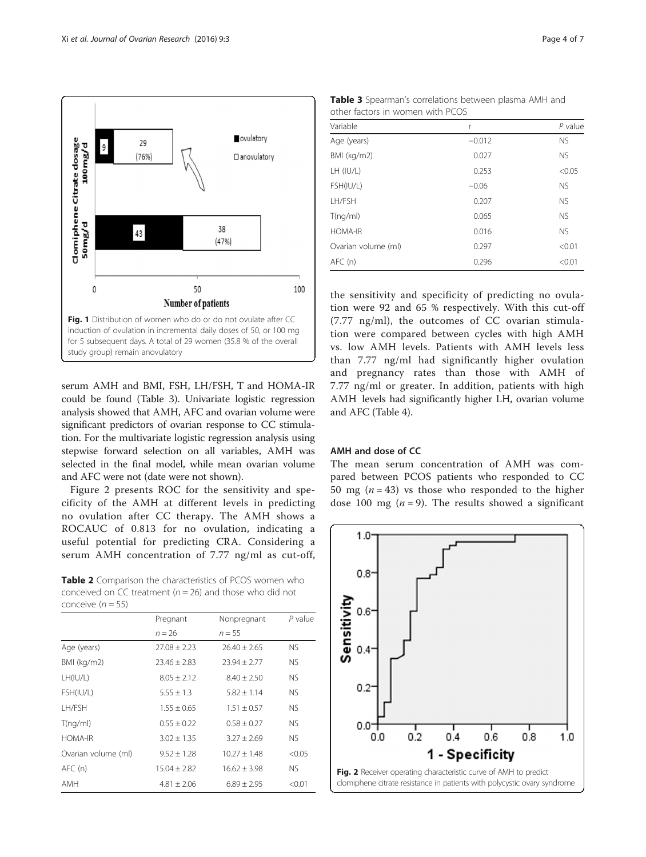<span id="page-3-0"></span>

serum AMH and BMI, FSH, LH/FSH, T and HOMA-IR could be found (Table 3). Univariate logistic regression analysis showed that AMH, AFC and ovarian volume were significant predictors of ovarian response to CC stimulation. For the multivariate logistic regression analysis using stepwise forward selection on all variables, AMH was selected in the final model, while mean ovarian volume and AFC were not (date were not shown).

Figure 2 presents ROC for the sensitivity and specificity of the AMH at different levels in predicting no ovulation after CC therapy. The AMH shows a ROCAUC of 0.813 for no ovulation, indicating a useful potential for predicting CRA. Considering a serum AMH concentration of 7.77 ng/ml as cut-off,

Table 2 Comparison the characteristics of PCOS women who conceived on CC treatment ( $n = 26$ ) and those who did not conceive  $(n = 55)$ 

| COTICLIVE $(11 - 33)$ |                  |                  |           |  |
|-----------------------|------------------|------------------|-----------|--|
|                       | Pregnant         |                  | $P$ value |  |
|                       | $n = 26$         | $n = 55$         |           |  |
| Age (years)           | $27.08 \pm 2.23$ | $26.40 \pm 2.65$ | <b>NS</b> |  |
| BMI (kg/m2)           | $23.46 \pm 2.83$ | $23.94 \pm 2.77$ | <b>NS</b> |  |
| LH(IU/L)              | $8.05 \pm 2.12$  | $8.40 \pm 2.50$  | <b>NS</b> |  |
| FSH(IU/L)             | $5.55 \pm 1.3$   | $5.82 \pm 1.14$  | <b>NS</b> |  |
| LH/FSH                | $1.55 \pm 0.65$  | $1.51 \pm 0.57$  | <b>NS</b> |  |
| T(nq/ml)              | $0.55 \pm 0.22$  | $0.58 \pm 0.27$  | <b>NS</b> |  |
| <b>HOMA-IR</b>        | $3.02 \pm 1.35$  | $3.27 \pm 2.69$  | <b>NS</b> |  |
| Ovarian volume (ml)   | $9.52 \pm 1.28$  | $10.27 \pm 1.48$ | < 0.05    |  |
| AFC(n)                | $15.04 \pm 2.82$ | $16.62 \pm 3.98$ | <b>NS</b> |  |
| AMH                   | $4.81 + 2.06$    | $6.89 + 2.95$    | < 0.01    |  |
|                       |                  |                  |           |  |

Table 3 Spearman's correlations between plasma AMH and other factors in women with PCOS

| Variable            | r        | $P$ value |
|---------------------|----------|-----------|
| Age (years)         | $-0.012$ | <b>NS</b> |
| BMI (kg/m2)         | 0.027    | <b>NS</b> |
| LH (IU/L)           | 0.253    | < 0.05    |
| FSH(IU/L)           | $-0.06$  | <b>NS</b> |
| LH/FSH              | 0.207    | <b>NS</b> |
| T(nq/ml)            | 0.065    | <b>NS</b> |
| <b>HOMA-IR</b>      | 0.016    | <b>NS</b> |
| Ovarian volume (ml) | 0.297    | < 0.01    |
| AFC(n)              | 0.296    | < 0.01    |

the sensitivity and specificity of predicting no ovulation were 92 and 65 % respectively. With this cut-off (7.77 ng/ml), the outcomes of CC ovarian stimulation were compared between cycles with high AMH vs. low AMH levels. Patients with AMH levels less than 7.77 ng/ml had significantly higher ovulation and pregnancy rates than those with AMH of 7.77 ng/ml or greater. In addition, patients with high AMH levels had significantly higher LH, ovarian volume and AFC (Table [4](#page-4-0)).

# AMH and dose of CC

The mean serum concentration of AMH was compared between PCOS patients who responded to CC 50 mg ( $n = 43$ ) vs those who responded to the higher dose 100 mg  $(n = 9)$ . The results showed a significant

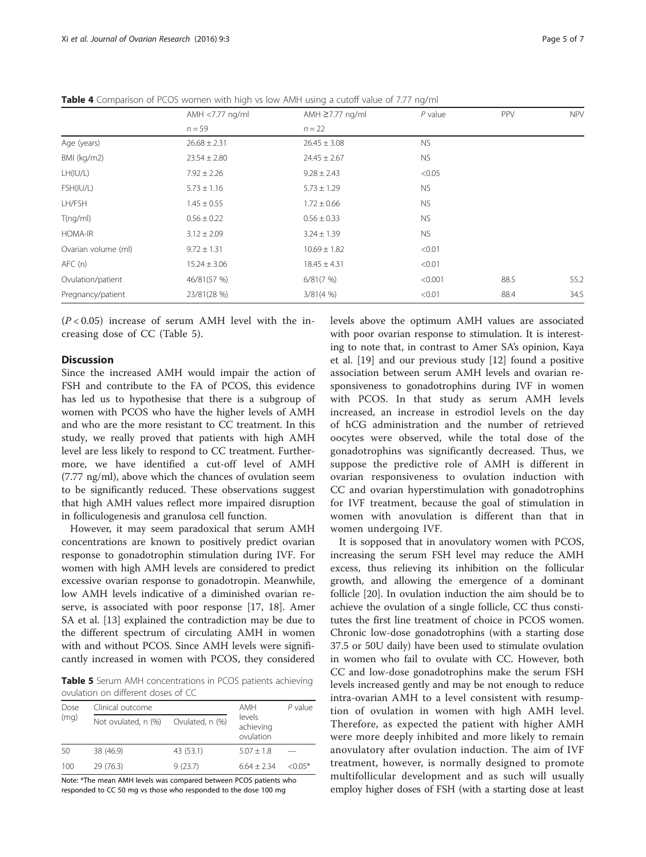|                     | AMH <7.77 ng/ml<br>$n = 59$ | AMH ≥7.77 ng/ml<br>$n = 22$ | $P$ value | PPV  | <b>NPV</b> |
|---------------------|-----------------------------|-----------------------------|-----------|------|------------|
|                     |                             |                             |           |      |            |
| Age (years)         | $26.68 \pm 2.31$            | $26.45 \pm 3.08$            | NS.       |      |            |
| BMI (kg/m2)         | $23.54 \pm 2.80$            | $24.45 \pm 2.67$            | NS.       |      |            |
| LH(IU/L)            | $7.92 \pm 2.26$             | $9.28 \pm 2.43$             | < 0.05    |      |            |
| FSH(IU/L)           | $5.73 \pm 1.16$             | $5.73 \pm 1.29$             | NS.       |      |            |
| LH/FSH              | $1.45 \pm 0.55$             | $1.72 \pm 0.66$             | <b>NS</b> |      |            |
| T(nq/ml)            | $0.56 \pm 0.22$             | $0.56 \pm 0.33$             | <b>NS</b> |      |            |
| HOMA-IR             | $3.12 \pm 2.09$             | $3.24 \pm 1.39$             | NS.       |      |            |
| Ovarian volume (ml) | $9.72 \pm 1.31$             | $10.69 \pm 1.82$            | < 0.01    |      |            |
| AFC(n)              | $15.24 \pm 3.06$            | $18.45 \pm 4.31$            | < 0.01    |      |            |
| Ovulation/patient   | 46/81(57 %)                 | 6/81(7%)                    | < 0.001   | 88.5 | 55.2       |
| Pregnancy/patient   | 23/81(28 %)                 | 3/81(4%                     | < 0.01    | 88.4 | 34.5       |

<span id="page-4-0"></span>Table 4 Comparison of PCOS women with high vs low AMH using a cutoff value of 7.77 ng/ml

 $(P<0.05)$  increase of serum AMH level with the increasing dose of CC (Table 5).

# **Discussion**

Since the increased AMH would impair the action of FSH and contribute to the FA of PCOS, this evidence has led us to hypothesise that there is a subgroup of women with PCOS who have the higher levels of AMH and who are the more resistant to CC treatment. In this study, we really proved that patients with high AMH level are less likely to respond to CC treatment. Furthermore, we have identified a cut-off level of AMH (7.77 ng/ml), above which the chances of ovulation seem to be significantly reduced. These observations suggest that high AMH values reflect more impaired disruption in folliculogenesis and granulosa cell function.

However, it may seem paradoxical that serum AMH concentrations are known to positively predict ovarian response to gonadotrophin stimulation during IVF. For women with high AMH levels are considered to predict excessive ovarian response to gonadotropin. Meanwhile, low AMH levels indicative of a diminished ovarian reserve, is associated with poor response [\[17, 18](#page-6-0)]. Amer SA et al. [\[13](#page-6-0)] explained the contradiction may be due to the different spectrum of circulating AMH in women with and without PCOS. Since AMH levels were significantly increased in women with PCOS, they considered

Table 5 Serum AMH concentrations in PCOS patients achieving ovulation on different doses of CC

| Dose<br>(mq) | Clinical outcome    | AMH             | $P$ value                        |           |
|--------------|---------------------|-----------------|----------------------------------|-----------|
|              | Not ovulated, n (%) | Ovulated, n (%) | levels<br>achieving<br>ovulation |           |
| 50           | 38 (46.9)           | 43 (53.1)       | $5.07 + 1.8$                     |           |
| 100          | 29(76.3)            | 9(23.7)         | $6.64 + 2.34$                    | $<$ 0.05* |

Note: \*The mean AMH levels was compared between PCOS patients who responded to CC 50 mg vs those who responded to the dose 100 mg

levels above the optimum AMH values are associated with poor ovarian response to stimulation. It is interesting to note that, in contrast to Amer SA's opinion, Kaya et al. [\[19](#page-6-0)] and our previous study [\[12\]](#page-6-0) found a positive association between serum AMH levels and ovarian responsiveness to gonadotrophins during IVF in women with PCOS. In that study as serum AMH levels increased, an increase in estrodiol levels on the day of hCG administration and the number of retrieved oocytes were observed, while the total dose of the gonadotrophins was significantly decreased. Thus, we suppose the predictive role of AMH is different in ovarian responsiveness to ovulation induction with CC and ovarian hyperstimulation with gonadotrophins for IVF treatment, because the goal of stimulation in women with anovulation is different than that in women undergoing IVF.

It is sopposed that in anovulatory women with PCOS, increasing the serum FSH level may reduce the AMH excess, thus relieving its inhibition on the follicular growth, and allowing the emergence of a dominant follicle [\[20\]](#page-6-0). In ovulation induction the aim should be to achieve the ovulation of a single follicle, CC thus constitutes the first line treatment of choice in PCOS women. Chronic low-dose gonadotrophins (with a starting dose 37.5 or 50U daily) have been used to stimulate ovulation in women who fail to ovulate with CC. However, both CC and low-dose gonadotrophins make the serum FSH levels increased gently and may be not enough to reduce intra-ovarian AMH to a level consistent with resumption of ovulation in women with high AMH level. Therefore, as expected the patient with higher AMH were more deeply inhibited and more likely to remain anovulatory after ovulation induction. The aim of IVF treatment, however, is normally designed to promote multifollicular development and as such will usually employ higher doses of FSH (with a starting dose at least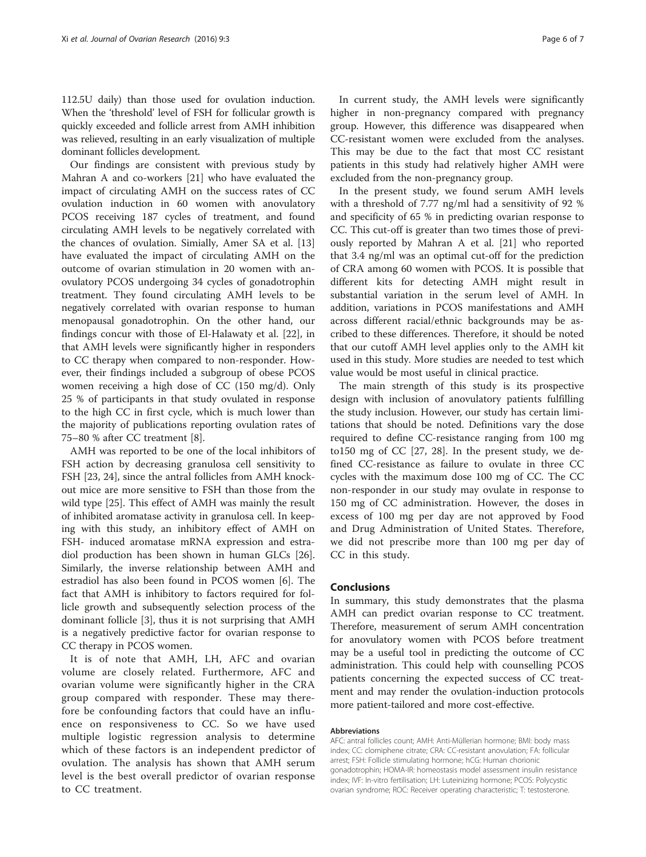112.5U daily) than those used for ovulation induction. When the 'threshold' level of FSH for follicular growth is quickly exceeded and follicle arrest from AMH inhibition was relieved, resulting in an early visualization of multiple dominant follicles development.

Our findings are consistent with previous study by Mahran A and co-workers [\[21\]](#page-6-0) who have evaluated the impact of circulating AMH on the success rates of CC ovulation induction in 60 women with anovulatory PCOS receiving 187 cycles of treatment, and found circulating AMH levels to be negatively correlated with the chances of ovulation. Simially, Amer SA et al. [[13](#page-6-0)] have evaluated the impact of circulating AMH on the outcome of ovarian stimulation in 20 women with anovulatory PCOS undergoing 34 cycles of gonadotrophin treatment. They found circulating AMH levels to be negatively correlated with ovarian response to human menopausal gonadotrophin. On the other hand, our findings concur with those of El-Halawaty et al. [[22\]](#page-6-0), in that AMH levels were significantly higher in responders to CC therapy when compared to non-responder. However, their findings included a subgroup of obese PCOS women receiving a high dose of CC (150 mg/d). Only 25 % of participants in that study ovulated in response to the high CC in first cycle, which is much lower than the majority of publications reporting ovulation rates of 75–80 % after CC treatment [[8\]](#page-6-0).

AMH was reported to be one of the local inhibitors of FSH action by decreasing granulosa cell sensitivity to FSH [\[23](#page-6-0), [24](#page-6-0)], since the antral follicles from AMH knockout mice are more sensitive to FSH than those from the wild type [\[25](#page-6-0)]. This effect of AMH was mainly the result of inhibited aromatase activity in granulosa cell. In keeping with this study, an inhibitory effect of AMH on FSH- induced aromatase mRNA expression and estradiol production has been shown in human GLCs [\[26](#page-6-0)]. Similarly, the inverse relationship between AMH and estradiol has also been found in PCOS women [\[6](#page-6-0)]. The fact that AMH is inhibitory to factors required for follicle growth and subsequently selection process of the dominant follicle [[3\]](#page-6-0), thus it is not surprising that AMH is a negatively predictive factor for ovarian response to CC therapy in PCOS women.

It is of note that AMH, LH, AFC and ovarian volume are closely related. Furthermore, AFC and ovarian volume were significantly higher in the CRA group compared with responder. These may therefore be confounding factors that could have an influence on responsiveness to CC. So we have used multiple logistic regression analysis to determine which of these factors is an independent predictor of ovulation. The analysis has shown that AMH serum level is the best overall predictor of ovarian response to CC treatment.

In current study, the AMH levels were significantly higher in non-pregnancy compared with pregnancy group. However, this difference was disappeared when CC-resistant women were excluded from the analyses. This may be due to the fact that most CC resistant patients in this study had relatively higher AMH were excluded from the non-pregnancy group.

In the present study, we found serum AMH levels with a threshold of 7.77 ng/ml had a sensitivity of 92 % and specificity of 65 % in predicting ovarian response to CC. This cut-off is greater than two times those of previously reported by Mahran A et al. [[21](#page-6-0)] who reported that 3.4 ng/ml was an optimal cut-off for the prediction of CRA among 60 women with PCOS. It is possible that different kits for detecting AMH might result in substantial variation in the serum level of AMH. In addition, variations in PCOS manifestations and AMH across different racial/ethnic backgrounds may be ascribed to these differences. Therefore, it should be noted that our cutoff AMH level applies only to the AMH kit used in this study. More studies are needed to test which value would be most useful in clinical practice.

The main strength of this study is its prospective design with inclusion of anovulatory patients fulfilling the study inclusion. However, our study has certain limitations that should be noted. Definitions vary the dose required to define CC-resistance ranging from 100 mg to150 mg of CC [[27, 28\]](#page-6-0). In the present study, we defined CC-resistance as failure to ovulate in three CC cycles with the maximum dose 100 mg of CC. The CC non-responder in our study may ovulate in response to 150 mg of CC administration. However, the doses in excess of 100 mg per day are not approved by Food and Drug Administration of United States. Therefore, we did not prescribe more than 100 mg per day of CC in this study.

# Conclusions

In summary, this study demonstrates that the plasma AMH can predict ovarian response to CC treatment. Therefore, measurement of serum AMH concentration for anovulatory women with PCOS before treatment may be a useful tool in predicting the outcome of CC administration. This could help with counselling PCOS patients concerning the expected success of CC treatment and may render the ovulation-induction protocols more patient-tailored and more cost-effective.

# Abbreviations

AFC: antral follicles count; AMH: Anti-Müllerian hormone; BMI: body mass index; CC: clomiphene citrate; CRA: CC-resistant anovulation; FA: follicular arrest; FSH: Follicle stimulating hormone; hCG: Human chorionic gonadotrophin; HOMA-IR: homeostasis model assessment insulin resistance index; IVF: In-vitro fertilisation; LH: Luteinizing hormone; PCOS: Polycystic ovarian syndrome; ROC: Receiver operating characteristic; T: testosterone.